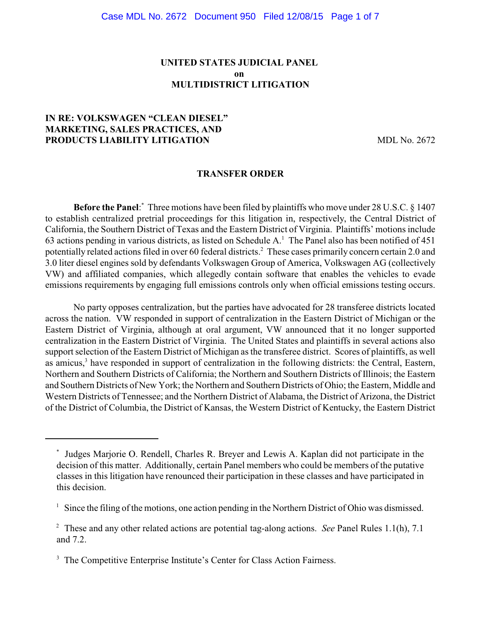# **UNITED STATES JUDICIAL PANEL on MULTIDISTRICT LITIGATION**

## **IN RE: VOLKSWAGEN "CLEAN DIESEL" MARKETING, SALES PRACTICES, AND PRODUCTS LIABILITY LITIGATION** MDL No. 2672

### **TRANSFER ORDER**

**Before the Panel:** Three motions have been filed by plaintiffs who move under 28 U.S.C. § 1407 to establish centralized pretrial proceedings for this litigation in, respectively, the Central District of California, the Southern District of Texas and the Eastern District of Virginia. Plaintiffs' motions include 63 actions pending in various districts, as listed on Schedule  $A<sup>1</sup>$ . The Panel also has been notified of 451 potentially related actions filed in over 60 federal districts.<sup>2</sup> These cases primarily concern certain 2.0 and 3.0 liter diesel engines sold by defendants Volkswagen Group of America, Volkswagen AG (collectively VW) and affiliated companies, which allegedly contain software that enables the vehicles to evade emissions requirements by engaging full emissions controls only when official emissions testing occurs.

No party opposes centralization, but the parties have advocated for 28 transferee districts located across the nation. VW responded in support of centralization in the Eastern District of Michigan or the Eastern District of Virginia, although at oral argument, VW announced that it no longer supported centralization in the Eastern District of Virginia. The United States and plaintiffs in several actions also support selection of the Eastern District of Michigan as the transferee district. Scores of plaintiffs, as well as amicus,<sup>3</sup> have responded in support of centralization in the following districts: the Central, Eastern, Northern and Southern Districts of California; the Northern and Southern Districts of Illinois; the Eastern and Southern Districts of New York; the Northern and Southern Districts of Ohio; the Eastern, Middle and Western Districts of Tennessee; and the Northern District of Alabama, the District of Arizona, the District of the District of Columbia, the District of Kansas, the Western District of Kentucky, the Eastern District

Judges Marjorie O. Rendell, Charles R. Breyer and Lewis A. Kaplan did not participate in the \* decision of this matter. Additionally, certain Panel members who could be members of the putative classes in this litigation have renounced their participation in these classes and have participated in this decision.

 $\frac{1}{1}$  Since the filing of the motions, one action pending in the Northern District of Ohio was dismissed.

<sup>&</sup>lt;sup>2</sup> These and any other related actions are potential tag-along actions. *See* Panel Rules 1.1(h), 7.1 and 7.2.

<sup>&</sup>lt;sup>3</sup> The Competitive Enterprise Institute's Center for Class Action Fairness.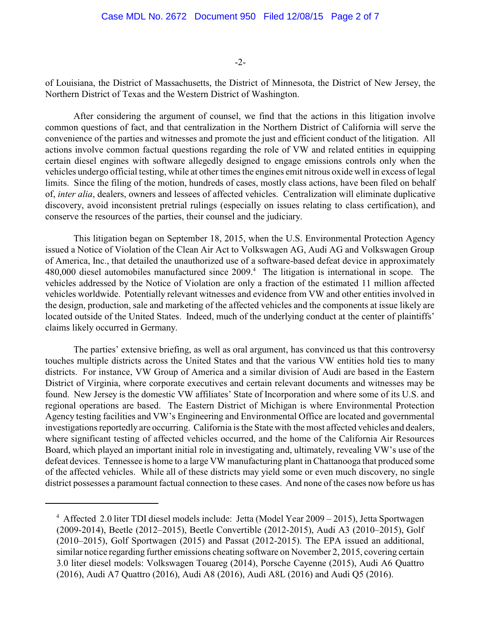### -2-

of Louisiana, the District of Massachusetts, the District of Minnesota, the District of New Jersey, the Northern District of Texas and the Western District of Washington.

After considering the argument of counsel, we find that the actions in this litigation involve common questions of fact, and that centralization in the Northern District of California will serve the convenience of the parties and witnesses and promote the just and efficient conduct of the litigation. All actions involve common factual questions regarding the role of VW and related entities in equipping certain diesel engines with software allegedly designed to engage emissions controls only when the vehicles undergo official testing, while at other times the engines emit nitrous oxide well in excess of legal limits. Since the filing of the motion, hundreds of cases, mostly class actions, have been filed on behalf of, *inter alia*, dealers, owners and lessees of affected vehicles. Centralization will eliminate duplicative discovery, avoid inconsistent pretrial rulings (especially on issues relating to class certification), and conserve the resources of the parties, their counsel and the judiciary.

This litigation began on September 18, 2015, when the U.S. Environmental Protection Agency issued a Notice of Violation of the Clean Air Act to Volkswagen AG, Audi AG and Volkswagen Group of America, Inc., that detailed the unauthorized use of a software-based defeat device in approximately 480,000 diesel automobiles manufactured since 2009.<sup>4</sup> The litigation is international in scope. The vehicles addressed by the Notice of Violation are only a fraction of the estimated 11 million affected vehicles worldwide. Potentially relevant witnesses and evidence from VW and other entities involved in the design, production, sale and marketing of the affected vehicles and the components at issue likely are located outside of the United States. Indeed, much of the underlying conduct at the center of plaintiffs' claims likely occurred in Germany.

The parties' extensive briefing, as well as oral argument, has convinced us that this controversy touches multiple districts across the United States and that the various VW entities hold ties to many districts. For instance, VW Group of America and a similar division of Audi are based in the Eastern District of Virginia, where corporate executives and certain relevant documents and witnesses may be found. New Jersey is the domestic VW affiliates' State of Incorporation and where some of its U.S. and regional operations are based. The Eastern District of Michigan is where Environmental Protection Agency testing facilities and VW's Engineering and Environmental Office are located and governmental investigations reportedly are occurring. California is the State with the most affected vehicles and dealers, where significant testing of affected vehicles occurred, and the home of the California Air Resources Board, which played an important initial role in investigating and, ultimately, revealing VW's use of the defeat devices. Tennessee is home to a large VW manufacturing plant in Chattanooga that produced some of the affected vehicles. While all of these districts may yield some or even much discovery, no single district possesses a paramount factual connection to these cases. And none of the cases now before us has

<sup>&</sup>lt;sup>4</sup> Affected 2.0 liter TDI diesel models include: Jetta (Model Year 2009 – 2015), Jetta Sportwagen (2009-2014), Beetle (2012–2015), Beetle Convertible (2012-2015), Audi A3 (2010–2015), Golf (2010–2015), Golf Sportwagen (2015) and Passat (2012-2015). The EPA issued an additional, similar notice regarding further emissions cheating software on November 2, 2015, covering certain 3.0 liter diesel models: Volkswagen Touareg (2014), Porsche Cayenne (2015), Audi A6 Quattro (2016), Audi A7 Quattro (2016), Audi A8 (2016), Audi A8L (2016) and Audi Q5 (2016).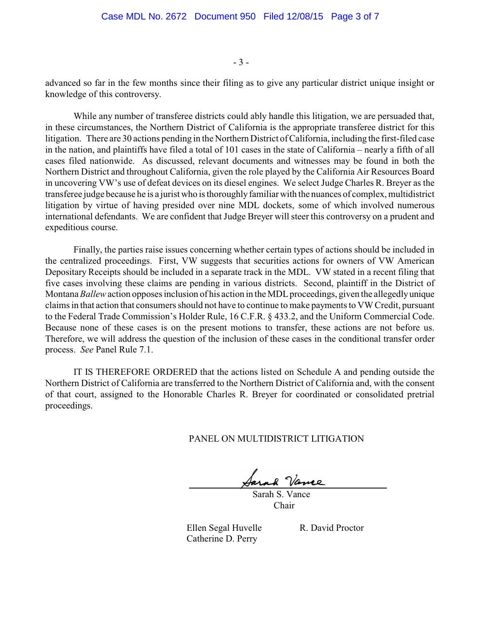- 3 -

advanced so far in the few months since their filing as to give any particular district unique insight or knowledge of this controversy.

While any number of transferee districts could ably handle this litigation, we are persuaded that, in these circumstances, the Northern District of California is the appropriate transferee district for this litigation. There are 30 actions pending in the Northern District of California, including the first-filed case in the nation, and plaintiffs have filed a total of 101 cases in the state of California – nearly a fifth of all cases filed nationwide. As discussed, relevant documents and witnesses may be found in both the Northern District and throughout California, given the role played by the California Air Resources Board in uncovering VW's use of defeat devices on its diesel engines. We select Judge Charles R. Breyer as the transferee judge because he is a jurist who is thoroughlyfamiliarwith the nuances of complex, multidistrict litigation by virtue of having presided over nine MDL dockets, some of which involved numerous international defendants. We are confident that Judge Breyer will steer this controversy on a prudent and expeditious course.

Finally, the parties raise issues concerning whether certain types of actions should be included in the centralized proceedings. First, VW suggests that securities actions for owners of VW American Depositary Receipts should be included in a separate track in the MDL. VW stated in a recent filing that five cases involving these claims are pending in various districts. Second, plaintiff in the District of Montana *Ballew* action opposes inclusion of his action in the MDL proceedings, given the allegedly unique claims in that action that consumers should not have to continue to make payments to VW Credit, pursuant to the Federal Trade Commission's Holder Rule, 16 C.F.R. § 433.2, and the Uniform Commercial Code. Because none of these cases is on the present motions to transfer, these actions are not before us. Therefore, we will address the question of the inclusion of these cases in the conditional transfer order process. *See* Panel Rule 7.1.

IT IS THEREFORE ORDERED that the actions listed on Schedule A and pending outside the Northern District of California are transferred to the Northern District of California and, with the consent of that court, assigned to the Honorable Charles R. Breyer for coordinated or consolidated pretrial proceedings.

PANEL ON MULTIDISTRICT LITIGATION

 Sarah S. Vance Chair

Ellen Segal Huvelle R. David Proctor Catherine D. Perry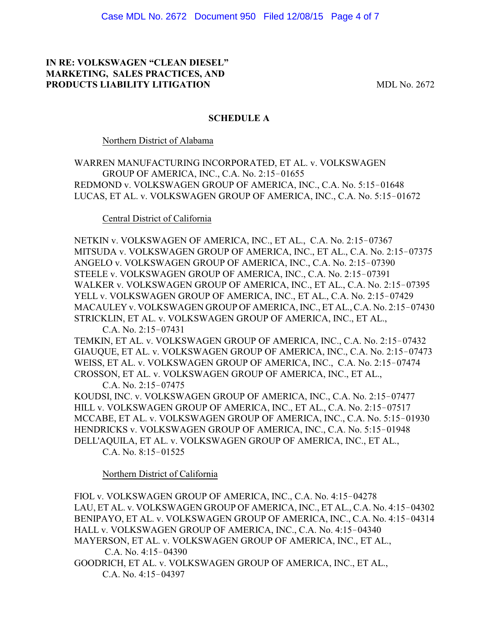# **IN RE: VOLKSWAGEN "CLEAN DIESEL" MARKETING, SALES PRACTICES, AND PRODUCTS LIABILITY LITIGATION** MDL No. 2672

### **SCHEDULE A**

Northern District of Alabama

WARREN MANUFACTURING INCORPORATED, ET AL. v. VOLKSWAGEN GROUP OF AMERICA, INC., C.A. No. 2:15-01655 REDMOND v. VOLKSWAGEN GROUP OF AMERICA, INC., C.A. No. 5:15-01648 LUCAS, ET AL. v. VOLKSWAGEN GROUP OF AMERICA, INC., C.A. No. 5:15-01672

Central District of California

NETKIN v. VOLKSWAGEN OF AMERICA, INC., ET AL., C.A. No. 2:15-07367 MITSUDA v. VOLKSWAGEN GROUP OF AMERICA, INC., ET AL., C.A. No. 2:15-07375 ANGELO v. VOLKSWAGEN GROUP OF AMERICA, INC., C.A. No. 2:15-07390 STEELE v. VOLKSWAGEN GROUP OF AMERICA, INC., C.A. No. 2:15-07391 WALKER v. VOLKSWAGEN GROUP OF AMERICA, INC., ET AL., C.A. No. 2:15-07395 YELL v. VOLKSWAGEN GROUP OF AMERICA, INC., ET AL., C.A. No. 2:15-07429 MACAULEY v. VOLKSWAGEN GROUP OF AMERICA, INC., ET AL., C.A. No. 2:15-07430 STRICKLIN, ET AL. v. VOLKSWAGEN GROUP OF AMERICA, INC., ET AL.,

C.A. No.  $2:15-07431$ TEMKIN, ET AL. v. VOLKSWAGEN GROUP OF AMERICA, INC., C.A. No. 2:15-07432 GIAUQUE, ET AL. v. VOLKSWAGEN GROUP OF AMERICA, INC., C.A. No. 2:15-07473 WEISS, ET AL. v. VOLKSWAGEN GROUP OF AMERICA, INC., C.A. No. 2:15-07474 CROSSON, ET AL. v. VOLKSWAGEN GROUP OF AMERICA, INC., ET AL.,

C.A. No. 2:15-07475 KOUDSI, INC. v. VOLKSWAGEN GROUP OF AMERICA, INC., C.A. No. 2:15-07477 HILL v. VOLKSWAGEN GROUP OF AMERICA, INC., ET AL., C.A. No. 2:15-07517 MCCABE, ET AL. v. VOLKSWAGEN GROUP OF AMERICA, INC., C.A. No. 5:15-01930 HENDRICKS v. VOLKSWAGEN GROUP OF AMERICA, INC., C.A. No. 5:15-01948 DELL'AQUILA, ET AL. v. VOLKSWAGEN GROUP OF AMERICA, INC., ET AL., C.A. No. 8:15-01525

Northern District of California

FIOL v. VOLKSWAGEN GROUP OF AMERICA, INC., C.A. No. 4:15-04278 LAU, ET AL. v. VOLKSWAGEN GROUP OF AMERICA, INC., ET AL., C.A. No. 4:15-04302 BENIPAYO, ET AL. v. VOLKSWAGEN GROUP OF AMERICA, INC., C.A. No. 4:15-04314 HALL v. VOLKSWAGEN GROUP OF AMERICA, INC., C.A. No. 4:15-04340 MAYERSON, ET AL. v. VOLKSWAGEN GROUP OF AMERICA, INC., ET AL., C.A. No.  $4:15-04390$ GOODRICH, ET AL. v. VOLKSWAGEN GROUP OF AMERICA, INC., ET AL., C.A. No.  $4:15-04397$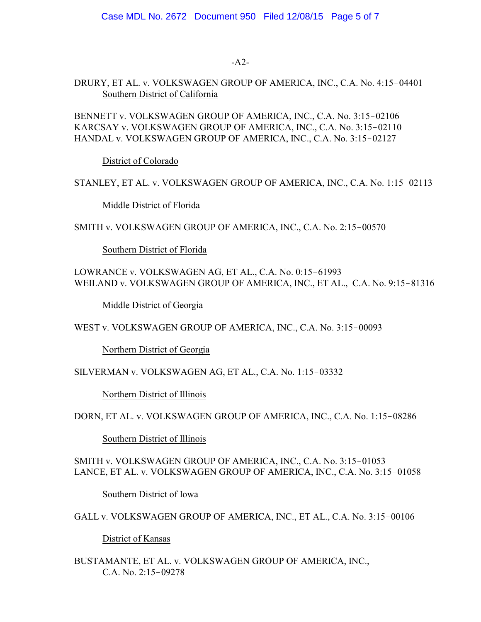## -A2-

# DRURY, ET AL. v. VOLKSWAGEN GROUP OF AMERICA, INC., C.A. No. 4:15-04401 Southern District of California

BENNETT v. VOLKSWAGEN GROUP OF AMERICA, INC., C.A. No. 3:15-02106 KARCSAY v. VOLKSWAGEN GROUP OF AMERICA, INC., C.A. No. 3:15-02110 HANDAL v. VOLKSWAGEN GROUP OF AMERICA, INC., C.A. No. 3:15-02127

District of Colorado

STANLEY, ET AL. v. VOLKSWAGEN GROUP OF AMERICA, INC., C.A. No. 1:15-02113

Middle District of Florida

SMITH v. VOLKSWAGEN GROUP OF AMERICA, INC., C.A. No. 2:15-00570

Southern District of Florida

LOWRANCE v. VOLKSWAGEN AG, ET AL., C.A. No. 0:15-61993 WEILAND v. VOLKSWAGEN GROUP OF AMERICA, INC., ET AL., C.A. No. 9:15-81316

Middle District of Georgia

WEST v. VOLKSWAGEN GROUP OF AMERICA, INC., C.A. No. 3:15-00093

Northern District of Georgia

SILVERMAN v. VOLKSWAGEN AG, ET AL., C.A. No. 1:15-03332

Northern District of Illinois

DORN, ET AL. v. VOLKSWAGEN GROUP OF AMERICA, INC., C.A. No. 1:15-08286

Southern District of Illinois

SMITH v. VOLKSWAGEN GROUP OF AMERICA, INC., C.A. No. 3:15-01053 LANCE, ET AL. v. VOLKSWAGEN GROUP OF AMERICA, INC., C.A. No. 3:15-01058

Southern District of Iowa

GALL v. VOLKSWAGEN GROUP OF AMERICA, INC., ET AL., C.A. No. 3:15-00106

District of Kansas

BUSTAMANTE, ET AL. v. VOLKSWAGEN GROUP OF AMERICA, INC., C.A. No.  $2:15-09278$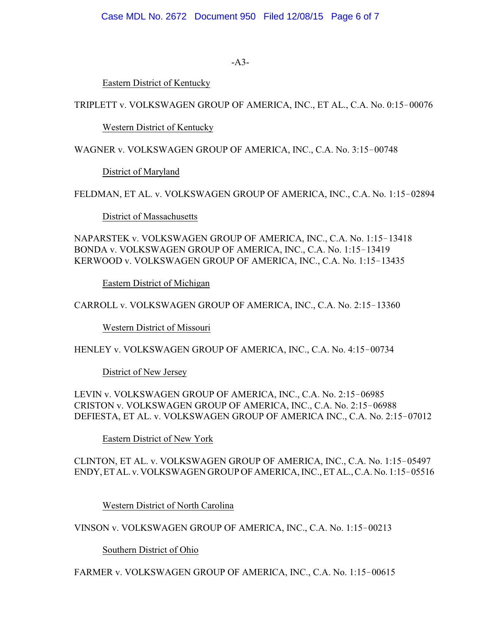$-AA$ -

Eastern District of Kentucky

TRIPLETT v. VOLKSWAGEN GROUP OF AMERICA, INC., ET AL., C.A. No. 0:15-00076

Western District of Kentucky

WAGNER v. VOLKSWAGEN GROUP OF AMERICA, INC., C.A. No. 3:15-00748

District of Maryland

FELDMAN, ET AL. v. VOLKSWAGEN GROUP OF AMERICA, INC., C.A. No. 1:15-02894

District of Massachusetts

NAPARSTEK v. VOLKSWAGEN GROUP OF AMERICA, INC., C.A. No. 1:15-13418 BONDA v. VOLKSWAGEN GROUP OF AMERICA, INC., C.A. No. 1:15-13419 KERWOOD v. VOLKSWAGEN GROUP OF AMERICA, INC., C.A. No. 1:15-13435

Eastern District of Michigan

CARROLL v. VOLKSWAGEN GROUP OF AMERICA, INC., C.A. No. 2:15-13360

Western District of Missouri

HENLEY v. VOLKSWAGEN GROUP OF AMERICA, INC., C.A. No. 4:15-00734

District of New Jersey

LEVIN v. VOLKSWAGEN GROUP OF AMERICA, INC., C.A. No. 2:15-06985 CRISTON v. VOLKSWAGEN GROUP OF AMERICA, INC., C.A. No. 2:15-06988 DEFIESTA, ET AL. v. VOLKSWAGEN GROUP OF AMERICA INC., C.A. No. 2:15-07012

Eastern District of New York

CLINTON, ET AL. v. VOLKSWAGEN GROUP OF AMERICA, INC., C.A. No. 1:15-05497 ENDY, ET AL. v. VOLKSWAGEN GROUP OF AMERICA, INC., ET AL., C.A. No. 1:15-05516

Western District of North Carolina

VINSON v. VOLKSWAGEN GROUP OF AMERICA, INC., C.A. No. 1:15-00213

Southern District of Ohio

FARMER v. VOLKSWAGEN GROUP OF AMERICA, INC., C.A. No. 1:15-00615